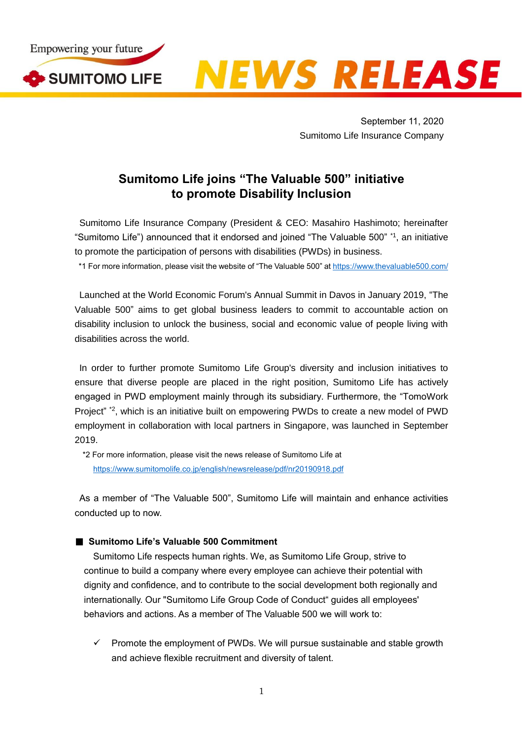

**NEWS RELEASE** 

September 11, 2020 Sumitomo Life Insurance Company

## **Sumitomo Life joins "The Valuable 500" initiative to promote Disability Inclusion**

Sumitomo Life Insurance Company (President & CEO: Masahiro Hashimoto; hereinafter "Sumitomo Life") announced that it endorsed and joined "The Valuable 500" \*1, an initiative to promote the participation of persons with disabilities (PWDs) in business.

\*1 For more information, please visit the website of "The Valuable 500" at <https://www.thevaluable500.com/>

Launched at the World Economic Forum's Annual Summit in Davos in January 2019, "The Valuable 500" aims to get global business leaders to commit to accountable action on disability inclusion to unlock the business, social and economic value of people living with disabilities across the world.

In order to further promote Sumitomo Life Group's diversity and inclusion initiatives to ensure that diverse people are placed in the right position, Sumitomo Life has actively engaged in PWD employment mainly through its subsidiary. Furthermore, the "TomoWork Project" \*2, which is an initiative built on empowering PWDs to create a new model of PWD employment in collaboration with local partners in Singapore, was launched in September 2019.

\*2 For more information, please visit the news release of Sumitomo Life at <https://www.sumitomolife.co.jp/english/newsrelease/pdf/nr20190918.pdf>

As a member of "The Valuable 500", Sumitomo Life will maintain and enhance activities conducted up to now.

## ■ Sumitomo Life's Valuable 500 Commitment

Sumitomo Life respects human rights. We, as Sumitomo Life Group, strive to continue to build a company where every employee can achieve their potential with dignity and confidence, and to contribute to the social development both regionally and internationally. Our "Sumitomo Life Group Code of Conduct" guides all employees' behaviors and actions. As a member of The Valuable 500 we will work to:

 $\checkmark$  Promote the employment of PWDs. We will pursue sustainable and stable growth and achieve flexible recruitment and diversity of talent.